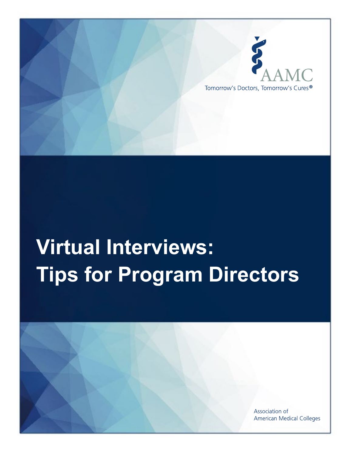

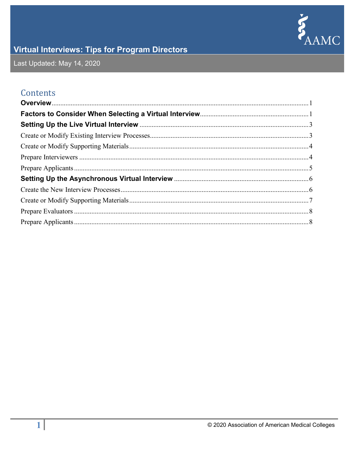

Last Updated: May 14, 2020

#### Contents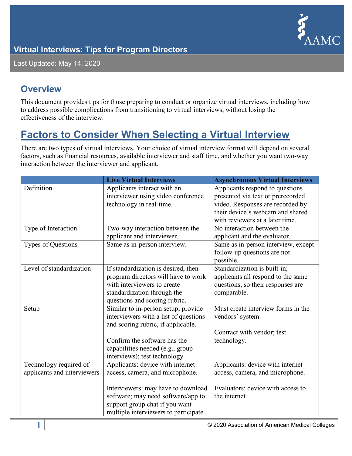

Last Updated: May 14, 2020

#### <span id="page-2-0"></span>**Overview**

This document provides tips for those preparing to conduct or organize virtual interviews, including how to address possible complications from transitioning to virtual interviews, without losing the effectiveness of the interview.

### <span id="page-2-1"></span>**Factors to Consider When Selecting a Virtual Interview**

There are two types of virtual interviews. Your choice of virtual interview format will depend on several factors, such as financial resources, available interviewer and staff time, and whether you want two-way interaction between the interviewer and applicant.

|                             | <b>Live Virtual Interviews</b>        | <b>Asynchronous Virtual Interviews</b> |
|-----------------------------|---------------------------------------|----------------------------------------|
| Definition                  | Applicants interact with an           | Applicants respond to questions        |
|                             | interviewer using video conference    | presented via text or prerecorded      |
|                             | technology in real-time.              | video. Responses are recorded by       |
|                             |                                       | their device's webcam and shared       |
|                             |                                       | with reviewers at a later time.        |
| Type of Interaction         | Two-way interaction between the       | No interaction between the             |
|                             | applicant and interviewer.            | applicant and the evaluator.           |
| Types of Questions          | Same as in-person interview.          | Same as in-person interview, except    |
|                             |                                       | follow-up questions are not            |
|                             |                                       | possible.                              |
| Level of standardization    | If standardization is desired, then   | Standardization is built-in;           |
|                             | program directors will have to work   | applicants all respond to the same     |
|                             | with interviewers to create           | questions, so their responses are      |
|                             | standardization through the           | comparable.                            |
|                             | questions and scoring rubric.         |                                        |
| Setup                       | Similar to in-person setup; provide   | Must create interview forms in the     |
|                             | interviewers with a list of questions | vendors' system.                       |
|                             | and scoring rubric, if applicable.    |                                        |
|                             |                                       | Contract with vendor; test             |
|                             | Confirm the software has the          | technology.                            |
|                             | capabilities needed (e.g., group      |                                        |
|                             | interviews); test technology.         |                                        |
| Technology required of      | Applicants: device with internet      | Applicants: device with internet       |
| applicants and interviewers | access, camera, and microphone.       | access, camera, and microphone.        |
|                             |                                       |                                        |
|                             | Interviewers: may have to download    | Evaluators: device with access to      |
|                             | software; may need software/app to    | the internet.                          |
|                             | support group chat if you want        |                                        |
|                             | multiple interviewers to participate. |                                        |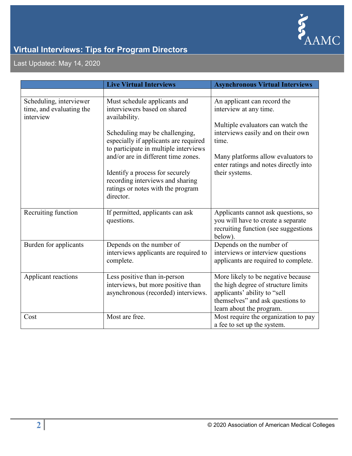

Last Updated: May 14, 2020

|                                                                  | <b>Live Virtual Interviews</b>                                                                                        | <b>Asynchronous Virtual Interviews</b>                                                                                                                                    |
|------------------------------------------------------------------|-----------------------------------------------------------------------------------------------------------------------|---------------------------------------------------------------------------------------------------------------------------------------------------------------------------|
|                                                                  |                                                                                                                       |                                                                                                                                                                           |
| Scheduling, interviewer<br>time, and evaluating the<br>interview | Must schedule applicants and<br>interviewers based on shared<br>availability.                                         | An applicant can record the<br>interview at any time.<br>Multiple evaluators can watch the                                                                                |
|                                                                  | Scheduling may be challenging,<br>especially if applicants are required<br>to participate in multiple interviews      | interviews easily and on their own<br>time.                                                                                                                               |
|                                                                  | and/or are in different time zones.                                                                                   | Many platforms allow evaluators to<br>enter ratings and notes directly into                                                                                               |
|                                                                  | Identify a process for securely<br>recording interviews and sharing<br>ratings or notes with the program<br>director. | their systems.                                                                                                                                                            |
| Recruiting function                                              | If permitted, applicants can ask<br>questions.                                                                        | Applicants cannot ask questions, so<br>you will have to create a separate<br>recruiting function (see suggestions<br>below).                                              |
| Burden for applicants                                            | Depends on the number of<br>interviews applicants are required to<br>complete.                                        | Depends on the number of<br>interviews or interview questions<br>applicants are required to complete.                                                                     |
| Applicant reactions                                              | Less positive than in-person<br>interviews, but more positive than<br>asynchronous (recorded) interviews.             | More likely to be negative because<br>the high degree of structure limits<br>applicants' ability to "sell<br>themselves" and ask questions to<br>learn about the program. |
| Cost                                                             | Most are free.                                                                                                        | Most require the organization to pay<br>a fee to set up the system.                                                                                                       |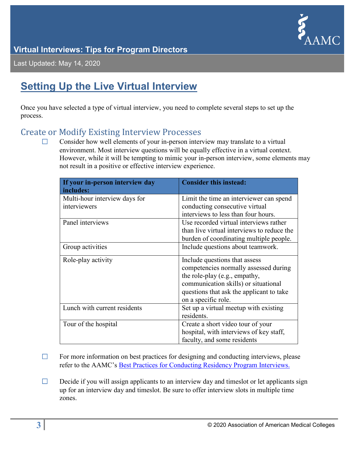

Last Updated: May 14, 2020

### <span id="page-4-0"></span>**Setting Up the Live Virtual Interview**

Once you have selected a type of virtual interview, you need to complete several steps to set up the process.

### <span id="page-4-1"></span>Create or Modify Existing Interview Processes<br>
□ Consider how well elements of your in-person inter

Consider how well elements of your in-person interview may translate to a virtual environment. Most interview questions will be equally effective in a virtual context. However, while it will be tempting to mimic your in-person interview, some elements may not result in a positive or effective interview experience.

| If your in-person interview day<br>includes: | <b>Consider this instead:</b>                       |
|----------------------------------------------|-----------------------------------------------------|
| Multi-hour interview days for                | Limit the time an interviewer can spend             |
| interviewers                                 | conducting consecutive virtual                      |
|                                              | interviews to less than four hours.                 |
| Panel interviews                             | Use recorded virtual interviews rather              |
|                                              | than live virtual interviews to reduce the          |
|                                              | burden of coordinating multiple people.             |
| Group activities                             | Include questions about teamwork.                   |
| Role-play activity                           | Include questions that assess                       |
|                                              | competencies normally assessed during               |
|                                              | the role-play (e.g., empathy,                       |
|                                              | communication skills) or situational                |
|                                              | questions that ask the applicant to take            |
|                                              | on a specific role.                                 |
| Lunch with current residents                 | Set up a virtual meetup with existing<br>residents. |
| Tour of the hospital                         | Create a short video tour of your                   |
|                                              | hospital, with interviews of key staff,             |
|                                              | faculty, and some residents                         |

- $\Box$  For more information on best practices for designing and conducting interviews, please refer to the AAMC's [Best Practices for Conducting Residency Program Interviews.](https://www.aamc.org/system/files/c/2/469536-best_practices_residency_program_interviews_09132016.pdf)
- $\Box$  Decide if you will assign applicants to an interview day and timeslot or let applicants sign up for an interview day and timeslot. Be sure to offer interview slots in multiple time zones.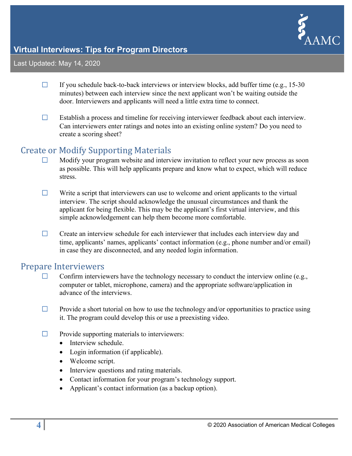

#### Last Updated: May 14, 2020

- $\Box$  If you schedule back-to-back interviews or interview blocks, add buffer time (e.g., 15-30) minutes) between each interview since the next applicant won't be waiting outside the door. Interviewers and applicants will need a little extra time to connect.
- ☐ Establish a process and timeline for receiving interviewer feedback about each interview. Can interviewers enter ratings and notes into an existing online system? Do you need to create a scoring sheet?

### <span id="page-5-0"></span>Create or Modify Supporting Materials<br>  $\Box$  Modify your program website and interv

- Modify your program website and interview invitation to reflect your new process as soon as possible. This will help applicants prepare and know what to expect, which will reduce stress.
- $\Box$  Write a script that interviewers can use to welcome and orient applicants to the virtual interview. The script should acknowledge the unusual circumstances and thank the applicant for being flexible. This may be the applicant's first virtual interview, and this simple acknowledgement can help them become more comfortable.
- $\Box$  Create an interview schedule for each interviewer that includes each interview day and time, applicants' names, applicants' contact information (e.g., phone number and/or email) in case they are disconnected, and any needed login information.

### <span id="page-5-1"></span>Prepare Interviewers<br>  $\square$  Confirm intervie

- Confirm interviewers have the technology necessary to conduct the interview online (e.g., computer or tablet, microphone, camera) and the appropriate software/application in advance of the interviews.
- $\Box$  Provide a short tutorial on how to use the technology and/or opportunities to practice using it. The program could develop this or use a preexisting video.
- $\Box$  Provide supporting materials to interviewers:
	- Interview schedule.
	- Login information (if applicable).
	- Welcome script.
	- Interview questions and rating materials.
	- Contact information for your program's technology support.
	- Applicant's contact information (as a backup option).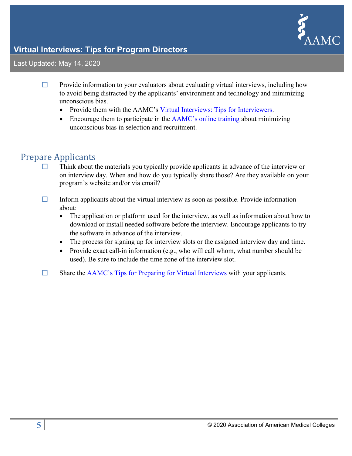

Last Updated: May 14, 2020

- $\Box$  Provide information to your evaluators about evaluating virtual interviews, including how to avoid being distracted by the applicants' environment and technology and minimizing unconscious bias.
	- Provide them with the AAMC's [Virtual Interviews: Tips for Interviewers.](https://www.aamc.org/media/44811/download)
	- Encourage them to participate in the [AAMC's online training](https://www.aamc.org/what-we-do/mission-areas/diversity-inclusion/unconscious-bias-training) about minimizing unconscious bias in selection and recruitment.

# <span id="page-6-0"></span>Prepare Applicants

- Think about the materials you typically provide applicants in advance of the interview or on interview day. When and how do you typically share those? Are they available on your program's website and/or via email?
- $\Box$  Inform applicants about the virtual interview as soon as possible. Provide information about:
	- The application or platform used for the interview, as well as information about how to download or install needed software before the interview. Encourage applicants to try the software in advance of the interview.
	- The process for signing up for interview slots or the assigned interview day and time.
	- Provide exact call-in information (e.g., who will call whom, what number should be used). Be sure to include the time zone of the interview slot.
- $\Box$  Share the [AAMC's Tips for Preparing for Virtual Interviews](https://www.aamc.org/system/files/2020-03/AAMC%20Virtual%20Interview%20Tips_03.19.2020.pdf) with your applicants.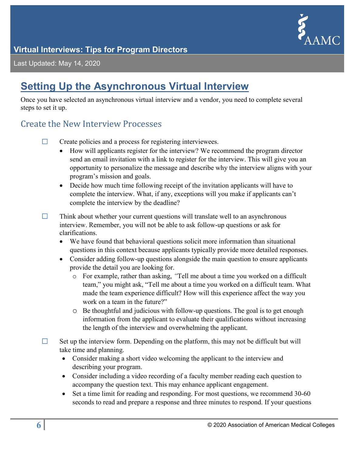

Last Updated: May 14, 2020

### <span id="page-7-0"></span>**Setting Up the Asynchronous Virtual Interview**

Once you have selected an asynchronous virtual interview and a vendor, you need to complete several steps to set it up.

#### <span id="page-7-1"></span>Create the New Interview Processes

- ☐ Create policies and a process for registering interviewees.
	- How will applicants register for the interview? We recommend the program director send an email invitation with a link to register for the interview. This will give you an opportunity to personalize the message and describe why the interview aligns with your program's mission and goals.
	- Decide how much time following receipt of the invitation applicants will have to complete the interview. What, if any, exceptions will you make if applicants can't complete the interview by the deadline?
- $\Box$  Think about whether your current questions will translate well to an asynchronous interview. Remember, you will not be able to ask follow-up questions or ask for clarifications.
	- We have found that behavioral questions solicit more information than situational questions in this context because applicants typically provide more detailed responses.
	- Consider adding follow-up questions alongside the main question to ensure applicants provide the detail you are looking for.
		- o For example, rather than asking, *"*Tell me about a time you worked on a difficult team," you might ask, "Tell me about a time you worked on a difficult team. What made the team experience difficult? How will this experience affect the way you work on a team in the future?"
		- o Be thoughtful and judicious with follow-up questions. The goal is to get enough information from the applicant to evaluate their qualifications without increasing the length of the interview and overwhelming the applicant.
- $\Box$  Set up the interview form. Depending on the platform, this may not be difficult but will take time and planning.
	- Consider making a short video welcoming the applicant to the interview and describing your program.
	- Consider including a video recording of a faculty member reading each question to accompany the question text. This may enhance applicant engagement.
	- Set a time limit for reading and responding. For most questions, we recommend 30-60 seconds to read and prepare a response and three minutes to respond. If your questions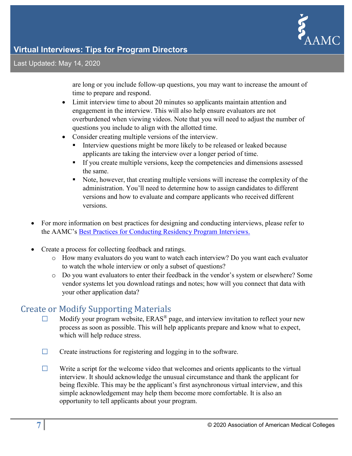

Last Updated: May 14, 2020

are long or you include follow-up questions, you may want to increase the amount of time to prepare and respond.

- Limit interview time to about 20 minutes so applicants maintain attention and engagement in the interview. This will also help ensure evaluators are not overburdened when viewing videos. Note that you will need to adjust the number of questions you include to align with the allotted time.
- Consider creating multiple versions of the interview.
	- Interview questions might be more likely to be released or leaked because applicants are taking the interview over a longer period of time.
	- If you create multiple versions, keep the competencies and dimensions assessed the same.
	- Note, however, that creating multiple versions will increase the complexity of the administration. You'll need to determine how to assign candidates to different versions and how to evaluate and compare applicants who received different versions.
- For more information on best practices for designing and conducting interviews, please refer to the AAMC's [Best Practices for Conducting Residency Program Interviews.](https://www.aamc.org/system/files/c/2/469536-best_practices_residency_program_interviews_09132016.pdf)
- Create a process for collecting feedback and ratings.
	- o How many evaluators do you want to watch each interview? Do you want each evaluator to watch the whole interview or only a subset of questions?
	- o Do you want evaluators to enter their feedback in the vendor's system or elsewhere? Some vendor systems let you download ratings and notes; how will you connect that data with your other application data?

## <span id="page-8-0"></span>Create or Modify Supporting Materials<br>
Modify your program website. ERAS<sup>®</sup> p

- Modify your program website, ERAS<sup>®</sup> page, and interview invitation to reflect your new process as soon as possible. This will help applicants prepare and know what to expect, which will help reduce stress.
- $\Box$  Create instructions for registering and logging in to the software.
- $\Box$  Write a script for the welcome video that welcomes and orients applicants to the virtual interview. It should acknowledge the unusual circumstance and thank the applicant for being flexible. This may be the applicant's first asynchronous virtual interview, and this simple acknowledgement may help them become more comfortable. It is also an opportunity to tell applicants about your program.